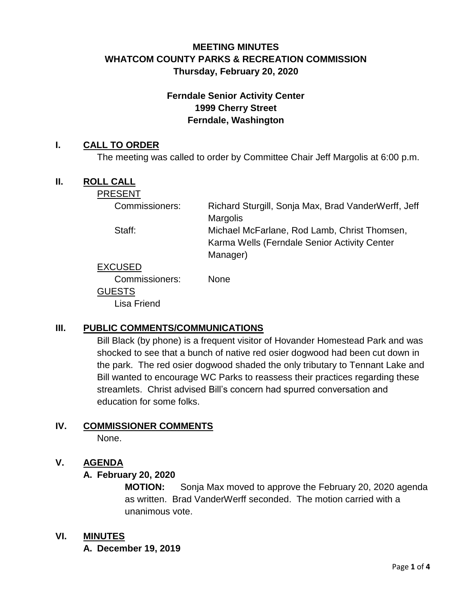# **MEETING MINUTES WHATCOM COUNTY PARKS & RECREATION COMMISSION Thursday, February 20, 2020**

# **Ferndale Senior Activity Center 1999 Cherry Street Ferndale, Washington**

#### **I. CALL TO ORDER**

The meeting was called to order by Committee Chair Jeff Margolis at 6:00 p.m.

#### **II. ROLL CALL**

PRESENT

| Commissioners: | Richard Sturgill, Sonja Max, Brad VanderWerff, Jeff |
|----------------|-----------------------------------------------------|
|                | <b>Margolis</b>                                     |
| Staff:         | Michael McFarlane, Rod Lamb, Christ Thomsen,        |
|                | Karma Wells (Ferndale Senior Activity Center        |
|                | Manager)                                            |
| <b>EXCUSED</b> |                                                     |
| Commissioners: | <b>None</b>                                         |
| <b>GUESTS</b>  |                                                     |

Lisa Friend

## **III. PUBLIC COMMENTS/COMMUNICATIONS**

Bill Black (by phone) is a frequent visitor of Hovander Homestead Park and was shocked to see that a bunch of native red osier dogwood had been cut down in the park. The red osier dogwood shaded the only tributary to Tennant Lake and Bill wanted to encourage WC Parks to reassess their practices regarding these streamlets. Christ advised Bill's concern had spurred conversation and education for some folks.

# **IV. COMMISSIONER COMMENTS**

None.

## **V. AGENDA**

#### **A. February 20, 2020**

**MOTION:** Sonja Max moved to approve the February 20, 2020 agenda as written. Brad VanderWerff seconded. The motion carried with a unanimous vote.

#### **VI. MINUTES**

**A. December 19, 2019**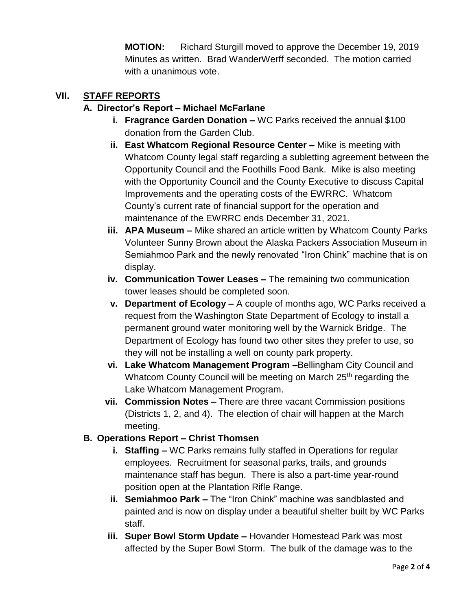**MOTION:** Richard Sturgill moved to approve the December 19, 2019 Minutes as written. Brad WanderWerff seconded. The motion carried with a unanimous vote.

#### **VII. STAFF REPORTS**

#### **A. Director's Report – Michael McFarlane**

- **i. Fragrance Garden Donation –** WC Parks received the annual \$100 donation from the Garden Club.
- **ii. East Whatcom Regional Resource Center –** Mike is meeting with Whatcom County legal staff regarding a subletting agreement between the Opportunity Council and the Foothills Food Bank. Mike is also meeting with the Opportunity Council and the County Executive to discuss Capital Improvements and the operating costs of the EWRRC. Whatcom County's current rate of financial support for the operation and maintenance of the EWRRC ends December 31, 2021.
- **iii. APA Museum –** Mike shared an article written by Whatcom County Parks Volunteer Sunny Brown about the Alaska Packers Association Museum in Semiahmoo Park and the newly renovated "Iron Chink" machine that is on display.
- **iv. Communication Tower Leases –** The remaining two communication tower leases should be completed soon.
- **v. Department of Ecology –** A couple of months ago, WC Parks received a request from the Washington State Department of Ecology to install a permanent ground water monitoring well by the Warnick Bridge. The Department of Ecology has found two other sites they prefer to use, so they will not be installing a well on county park property.
- **vi. Lake Whatcom Management Program –**Bellingham City Council and Whatcom County Council will be meeting on March 25<sup>th</sup> regarding the Lake Whatcom Management Program.
- **vii. Commission Notes –** There are three vacant Commission positions (Districts 1, 2, and 4). The election of chair will happen at the March meeting.

#### **B. Operations Report – Christ Thomsen**

- **i. Staffing –** WC Parks remains fully staffed in Operations for regular employees. Recruitment for seasonal parks, trails, and grounds maintenance staff has begun. There is also a part-time year-round position open at the Plantation Rifle Range.
- **ii. Semiahmoo Park –** The "Iron Chink" machine was sandblasted and painted and is now on display under a beautiful shelter built by WC Parks staff.
- **iii. Super Bowl Storm Update –** Hovander Homestead Park was most affected by the Super Bowl Storm. The bulk of the damage was to the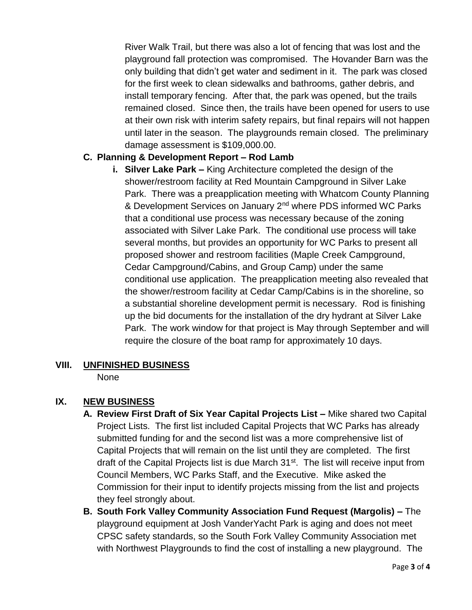River Walk Trail, but there was also a lot of fencing that was lost and the playground fall protection was compromised. The Hovander Barn was the only building that didn't get water and sediment in it. The park was closed for the first week to clean sidewalks and bathrooms, gather debris, and install temporary fencing. After that, the park was opened, but the trails remained closed. Since then, the trails have been opened for users to use at their own risk with interim safety repairs, but final repairs will not happen until later in the season. The playgrounds remain closed. The preliminary damage assessment is \$109,000.00.

## **C. Planning & Development Report – Rod Lamb**

**i. Silver Lake Park –** King Architecture completed the design of the shower/restroom facility at Red Mountain Campground in Silver Lake Park. There was a preapplication meeting with Whatcom County Planning & Development Services on January 2<sup>nd</sup> where PDS informed WC Parks that a conditional use process was necessary because of the zoning associated with Silver Lake Park. The conditional use process will take several months, but provides an opportunity for WC Parks to present all proposed shower and restroom facilities (Maple Creek Campground, Cedar Campground/Cabins, and Group Camp) under the same conditional use application. The preapplication meeting also revealed that the shower/restroom facility at Cedar Camp/Cabins is in the shoreline, so a substantial shoreline development permit is necessary. Rod is finishing up the bid documents for the installation of the dry hydrant at Silver Lake Park. The work window for that project is May through September and will require the closure of the boat ramp for approximately 10 days.

#### **VIII. UNFINISHED BUSINESS**

None

#### **IX. NEW BUSINESS**

- **A. Review First Draft of Six Year Capital Projects List –** Mike shared two Capital Project Lists. The first list included Capital Projects that WC Parks has already submitted funding for and the second list was a more comprehensive list of Capital Projects that will remain on the list until they are completed. The first draft of the Capital Projects list is due March 31<sup>st</sup>. The list will receive input from Council Members, WC Parks Staff, and the Executive. Mike asked the Commission for their input to identify projects missing from the list and projects they feel strongly about.
- **B. South Fork Valley Community Association Fund Request (Margolis) –** The playground equipment at Josh VanderYacht Park is aging and does not meet CPSC safety standards, so the South Fork Valley Community Association met with Northwest Playgrounds to find the cost of installing a new playground. The